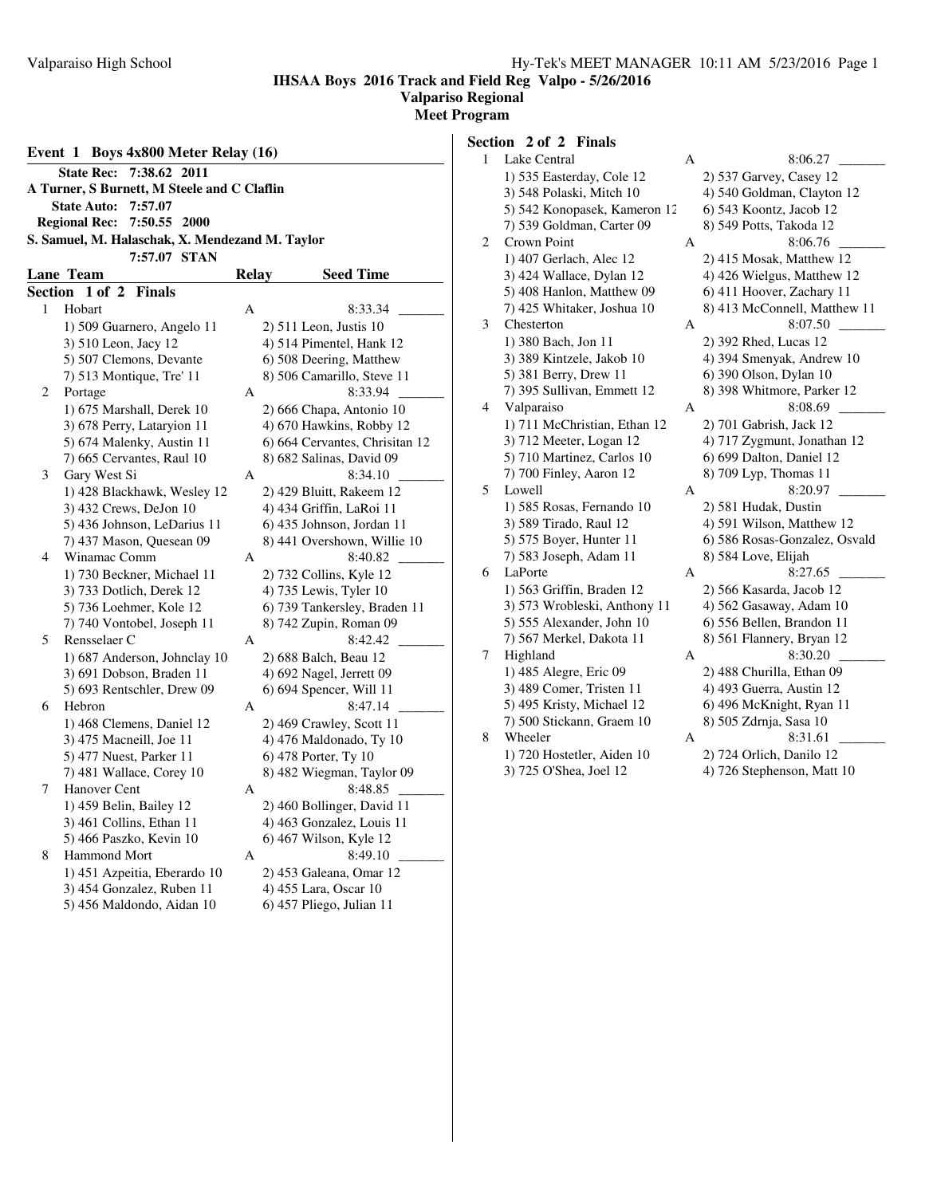## **Valpariso Regional**

**Meet Program**

| Event 1 Boys 4x800 Meter Relay (16)                                  |   |                                                        |  |  |  |  |  |  |  |  |  |  |
|----------------------------------------------------------------------|---|--------------------------------------------------------|--|--|--|--|--|--|--|--|--|--|
| 7:38.62 2011<br><b>State Rec:</b>                                    |   |                                                        |  |  |  |  |  |  |  |  |  |  |
| A Turner, S Burnett, M Steele and C Claflin                          |   |                                                        |  |  |  |  |  |  |  |  |  |  |
| <b>State Auto:</b><br>7:57.07                                        |   |                                                        |  |  |  |  |  |  |  |  |  |  |
| 7:50.55 2000<br><b>Regional Rec:</b>                                 |   |                                                        |  |  |  |  |  |  |  |  |  |  |
| S. Samuel, M. Halaschak, X. Mendezand M. Taylor                      |   |                                                        |  |  |  |  |  |  |  |  |  |  |
| 7:57.07 STAN<br><b>Lane Team</b><br><b>Relay</b><br><b>Seed Time</b> |   |                                                        |  |  |  |  |  |  |  |  |  |  |
| 1 of 2                                                               |   |                                                        |  |  |  |  |  |  |  |  |  |  |
| Section<br><b>Finals</b><br>Hobart<br>1                              | A | 8:33.34                                                |  |  |  |  |  |  |  |  |  |  |
| 1) 509 Guarnero, Angelo 11                                           |   | 2) 511 Leon, Justis 10                                 |  |  |  |  |  |  |  |  |  |  |
| 3) 510 Leon, Jacy 12                                                 |   | 4) 514 Pimentel, Hank 12                               |  |  |  |  |  |  |  |  |  |  |
| 5) 507 Clemons, Devante                                              |   | 6) 508 Deering, Matthew                                |  |  |  |  |  |  |  |  |  |  |
| 7) 513 Montique, Tre' 11                                             |   | 8) 506 Camarillo, Steve 11                             |  |  |  |  |  |  |  |  |  |  |
| 2<br>Portage                                                         | А | 8:33.94                                                |  |  |  |  |  |  |  |  |  |  |
| 1) 675 Marshall, Derek 10                                            |   | 2) 666 Chapa, Antonio 10                               |  |  |  |  |  |  |  |  |  |  |
| 3) 678 Perry, Lataryion 11                                           |   | 4) 670 Hawkins, Robby 12                               |  |  |  |  |  |  |  |  |  |  |
| 5) 674 Malenky, Austin 11                                            |   | 6) 664 Cervantes, Chrisitan 12                         |  |  |  |  |  |  |  |  |  |  |
| 7) 665 Cervantes, Raul 10                                            |   | 8) 682 Salinas, David 09                               |  |  |  |  |  |  |  |  |  |  |
| Gary West Si<br>3                                                    | A | 8:34.10                                                |  |  |  |  |  |  |  |  |  |  |
| 1) 428 Blackhawk, Wesley 12                                          |   | 2) 429 Bluitt, Rakeem 12                               |  |  |  |  |  |  |  |  |  |  |
| 3) 432 Crews, DeJon 10                                               |   | 4) 434 Griffin, LaRoi 11                               |  |  |  |  |  |  |  |  |  |  |
| 5) 436 Johnson, LeDarius 11                                          |   | 6) 435 Johnson, Jordan 11                              |  |  |  |  |  |  |  |  |  |  |
| 7) 437 Mason, Quesean 09                                             |   | 8) 441 Overshown, Willie 10                            |  |  |  |  |  |  |  |  |  |  |
| Winamac Comm<br>4                                                    | A | 8:40.82                                                |  |  |  |  |  |  |  |  |  |  |
| 1) 730 Beckner, Michael 11                                           |   | 2) 732 Collins, Kyle 12                                |  |  |  |  |  |  |  |  |  |  |
| 3) 733 Dotlich, Derek 12                                             |   | 4) 735 Lewis, Tyler 10                                 |  |  |  |  |  |  |  |  |  |  |
| 5) 736 Loehmer, Kole 12<br>7) 740 Vontobel, Joseph 11                |   | 6) 739 Tankersley, Braden 11<br>8) 742 Zupin, Roman 09 |  |  |  |  |  |  |  |  |  |  |
| 5<br>Rensselaer C                                                    | A | 8:42.42                                                |  |  |  |  |  |  |  |  |  |  |
| 1) 687 Anderson, Johnclay 10                                         |   | 2) 688 Balch, Beau 12                                  |  |  |  |  |  |  |  |  |  |  |
| 3) 691 Dobson, Braden 11                                             |   | 4) 692 Nagel, Jerrett 09                               |  |  |  |  |  |  |  |  |  |  |
| 5) 693 Rentschler, Drew 09                                           |   | 6) 694 Spencer, Will 11                                |  |  |  |  |  |  |  |  |  |  |
| Hebron<br>6                                                          | A | 8:47.14                                                |  |  |  |  |  |  |  |  |  |  |
| 1) 468 Clemens, Daniel 12                                            |   | 2) 469 Crawley, Scott 11                               |  |  |  |  |  |  |  |  |  |  |
| 3) 475 Macneill, Joe 11                                              |   | 4) 476 Maldonado, Ty 10                                |  |  |  |  |  |  |  |  |  |  |
| 5) 477 Nuest, Parker 11                                              |   | 6) 478 Porter, Ty 10                                   |  |  |  |  |  |  |  |  |  |  |
| 7) 481 Wallace, Corey 10                                             |   | 8) 482 Wiegman, Taylor 09                              |  |  |  |  |  |  |  |  |  |  |
| 7<br>Hanover Cent                                                    | A | 8:48.85                                                |  |  |  |  |  |  |  |  |  |  |
| 1) 459 Belin, Bailey 12                                              |   | 2) 460 Bollinger, David 11                             |  |  |  |  |  |  |  |  |  |  |
| 3) 461 Collins, Ethan 11                                             |   | 4) 463 Gonzalez, Louis 11                              |  |  |  |  |  |  |  |  |  |  |
| 5) 466 Paszko, Kevin 10                                              |   | 6) 467 Wilson, Kyle 12                                 |  |  |  |  |  |  |  |  |  |  |
| 8<br><b>Hammond Mort</b>                                             | А | 8:49.10                                                |  |  |  |  |  |  |  |  |  |  |
| 1) 451 Azpeitia, Eberardo 10                                         |   | 2) 453 Galeana, Omar 12                                |  |  |  |  |  |  |  |  |  |  |
| 3) 454 Gonzalez, Ruben 11                                            |   | 4) 455 Lara, Oscar 10                                  |  |  |  |  |  |  |  |  |  |  |
| 5) 456 Maldondo, Aidan 10                                            |   | 6) 457 Pliego, Julian 11                               |  |  |  |  |  |  |  |  |  |  |
|                                                                      |   |                                                        |  |  |  |  |  |  |  |  |  |  |

**Section 2 of 2 Finals** 1 Lake Central A 8:06.27 1) 535 Easterday, Cole 12 2) 537 Garvey, Casey 12 3) 548 Polaski, Mitch 10 4) 540 Goldman, Clayton 12<br>5) 542 Konopasek, Kameron 12 6) 543 Koontz, Jacob 12 5) 542 Konopasek, Kameron 12 6) 543 Koontz, Jacob 12 7) 539 Goldman, Carter 09 2 Crown Point A 8:06.76 1) 407 Gerlach, Alec 12 2) 415 Mosak, Matthew 12 3) 424 Wallace, Dylan 12 4) 426 Wielgus, Matthew 12 5) 408 Hanlon, Matthew 09 6) 411 Hoover, Zachary 11 7) 425 Whitaker, Joshua 10 8) 413 McConnell, Matthew 11 3 Chesterton A 8:07.50 1) 380 Bach, Jon 11 2) 392 Rhed, Lucas 12 3) 389 Kintzele, Jakob 10 4) 394 Smenyak, Andrew 10 5) 381 Berry, Drew 11 6) 390 Olson, Dylan 10 7) 395 Sullivan, Emmett 12 8) 398 Whitmore, Parker 12 4 Valparaiso A 8:08.69 1) 711 McChristian, Ethan 12 2) 701 Gabrish, Jack 12 3) 712 Meeter, Logan 12 4) 717 Zygmunt, Jonathan 12 5) 710 Martinez, Carlos 10 6) 699 Dalton, Daniel 12 7) 700 Finley, Aaron 12 8) 709 Lyp, Thomas 11 5 Lowell A 8:20.97 1) 585 Rosas, Fernando 10 2) 581 Hudak, Dustin 3) 589 Tirado, Raul 12 4) 591 Wilson, Matthew 12 5) 575 Boyer, Hunter 11 6) 586 Rosas-Gonzalez, Osvald 7) 583 Joseph, Adam 11 8) 584 Love, Elijah 6 LaPorte A 8:27.65 1) 563 Griffin, Braden 12 2) 566 Kasarda, Jacob 12

3) 573 Wrobleski, Anthony 11 4) 562 Gasaway, Adam 10 5) 555 Alexander, John 10 6) 556 Bellen, Brandon 11 7) 567 Merkel, Dakota 11 8) 561 Flannery, Bryan 12 7 Highland A 8:30.20 1) 485 Alegre, Eric 09 2) 488 Churilla, Ethan 09 3) 489 Comer, Tristen 11 4) 493 Guerra, Austin 12 5) 495 Kristy, Michael 12 6) 496 McKnight, Ryan 11 7) 500 Stickann, Graem 10 8) 505 Zdrnja, Sasa 10 8 Wheeler A 8:31.61 1) 720 Hostetler, Aiden 10 2) 724 Orlich, Danilo 12

3) 725 O'Shea, Joel 12 4) 726 Stephenson, Matt 10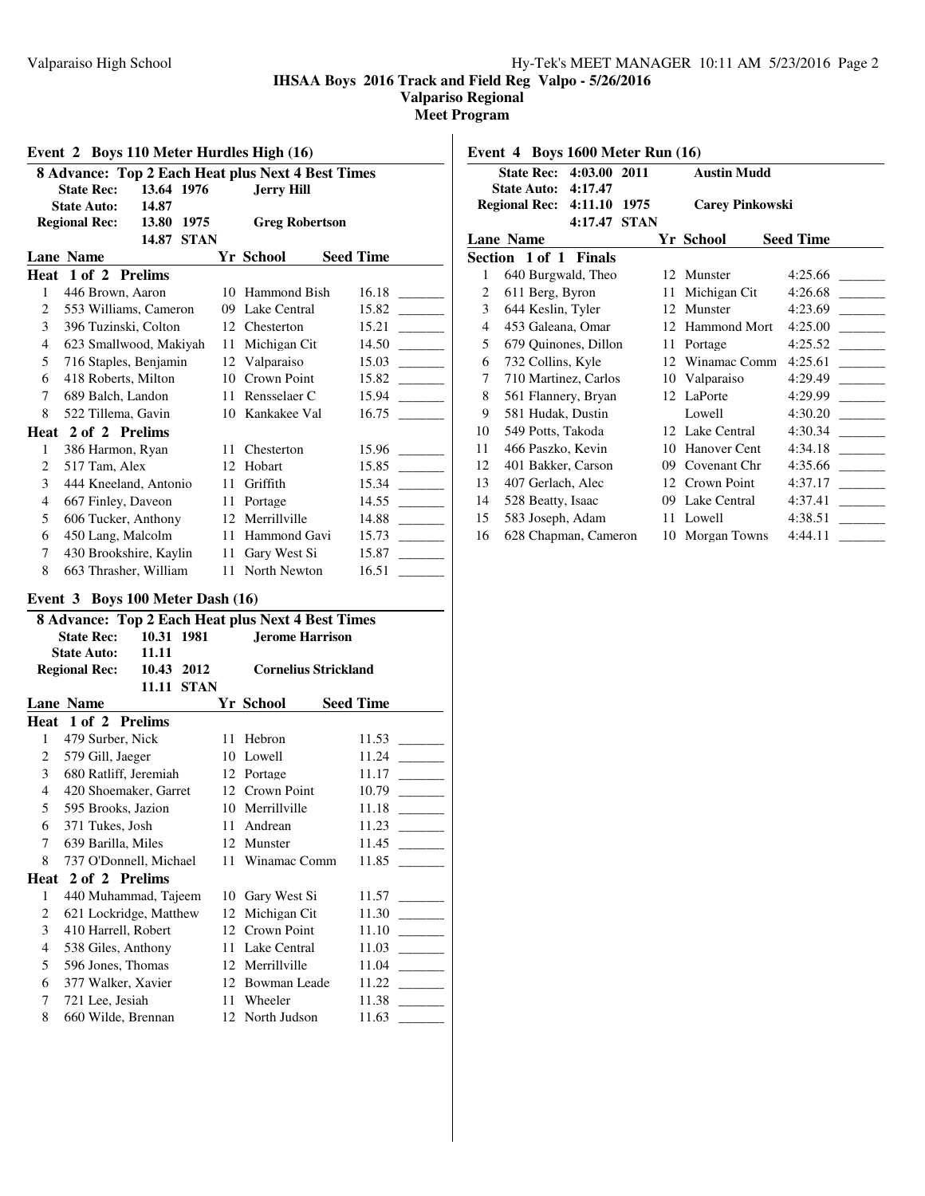**Valpariso Regional**

**Meet Program**

|                |                        |            |             |               | 8 Advance: Top 2 Each Heat plus Next 4 Best Times |                  |
|----------------|------------------------|------------|-------------|---------------|---------------------------------------------------|------------------|
|                | <b>State Rec:</b>      | 13.64 1976 |             |               | <b>Jerry Hill</b>                                 |                  |
|                | <b>State Auto:</b>     | 14.87      |             |               |                                                   |                  |
|                | <b>Regional Rec:</b>   | 13.80      | 1975        |               | <b>Greg Robertson</b>                             |                  |
|                |                        | 14.87      | <b>STAN</b> |               |                                                   |                  |
|                | <b>Lane Name</b>       |            |             |               | Yr School                                         | <b>Seed Time</b> |
|                | Heat 1 of 2 Prelims    |            |             |               |                                                   |                  |
| 1              | 446 Brown, Aaron       |            |             | 10            | Hammond Bish                                      | 16.18            |
| 2              | 553 Williams, Cameron  |            |             | 09            | Lake Central                                      | 15.82            |
| 3              | 396 Tuzinski, Colton   |            |             | 12            | Chesterton                                        | 15.21            |
| 4              | 623 Smallwood, Makiyah |            |             | 11            | Michigan Cit                                      | 14.50            |
| 5              | 716 Staples, Benjamin  |            |             | 12 Valparaiso | 15.03                                             |                  |
| 6              | 418 Roberts, Milton    |            |             | 10            | Crown Point                                       | 15.82            |
| 7              | 689 Balch, Landon      |            |             | 11            | Rensselaer C                                      | 15.94            |
| 8              | 522 Tillema, Gavin     |            |             | 10            | Kankakee Val                                      | 16.75            |
|                | Heat 2 of 2 Prelims    |            |             |               |                                                   |                  |
| 1              | 386 Harmon, Ryan       |            |             | 11            | Chesterton                                        | 15.96            |
| $\overline{c}$ | 517 Tam, Alex          |            |             | 12            | Hobart                                            | 15.85            |
| 3              | 444 Kneeland, Antonio  |            |             | 11            | Griffith                                          | 15.34            |
| 4              | 667 Finley, Daveon     |            |             | 11            | Portage                                           | 14.55            |
| 5              | 606 Tucker, Anthony    |            |             | 12            | Merrillville                                      | 14.88            |
| 6              | 450 Lang, Malcolm      |            |             | 11            | Hammond Gavi                                      | 15.73            |
| 7              | 430 Brookshire, Kaylin |            |             | 11            | Gary West Si                                      | 15.87            |
| 8              | 663 Thrasher, William  |            |             | 11            | North Newton                                      | 16.51            |

# **Event 3 Boys 100 Meter Dash (16)**

| $\sum_{i=1}^{n}$<br>8 Advance: Top 2 Each Heat plus Next 4 Best Times                  |                        |            |  |    |                        |  |                  |  |  |  |  |
|----------------------------------------------------------------------------------------|------------------------|------------|--|----|------------------------|--|------------------|--|--|--|--|
|                                                                                        |                        |            |  |    |                        |  |                  |  |  |  |  |
|                                                                                        | <b>State Rec:</b>      | 10.31 1981 |  |    | <b>Jerome Harrison</b> |  |                  |  |  |  |  |
|                                                                                        | <b>State Auto:</b>     | 11.11      |  |    |                        |  |                  |  |  |  |  |
| 10.43 2012<br><b>Regional Rec:</b><br><b>Cornelius Strickland</b><br><b>11.11 STAN</b> |                        |            |  |    |                        |  |                  |  |  |  |  |
|                                                                                        |                        |            |  |    |                        |  |                  |  |  |  |  |
|                                                                                        | <b>Lane Name</b>       |            |  |    | Yr School              |  | <b>Seed Time</b> |  |  |  |  |
|                                                                                        | Heat 1 of 2 Prelims    |            |  |    |                        |  |                  |  |  |  |  |
| 1                                                                                      | 479 Surber, Nick       |            |  | 11 | Hebron                 |  | 11.53            |  |  |  |  |
| 2                                                                                      | 579 Gill, Jaeger       |            |  |    | 10 Lowell              |  | 11.24            |  |  |  |  |
| $\mathbf{3}$                                                                           | 680 Ratliff, Jeremiah  |            |  |    | 12 Portage             |  | 11.17            |  |  |  |  |
| 4                                                                                      | 420 Shoemaker, Garret  |            |  |    | 12 Crown Point         |  | 10.79            |  |  |  |  |
| 5 <sup>1</sup>                                                                         | 595 Brooks, Jazion     |            |  |    | 10 Merrillville        |  | 11.18            |  |  |  |  |
| 6                                                                                      | 371 Tukes, Josh        |            |  |    | 11 Andrean             |  | 11.23            |  |  |  |  |
| 7                                                                                      | 639 Barilla, Miles     |            |  |    | 12 Munster             |  | 11.45            |  |  |  |  |
| 8                                                                                      | 737 O'Donnell, Michael |            |  |    | 11 Winamac Comm        |  | 11.85            |  |  |  |  |
| Heat                                                                                   | 2 of 2 Prelims         |            |  |    |                        |  |                  |  |  |  |  |
| 1                                                                                      | 440 Muhammad, Tajeem   |            |  |    | 10 Gary West Si        |  | 11.57            |  |  |  |  |
| 2                                                                                      | 621 Lockridge, Matthew |            |  |    | 12 Michigan Cit        |  | 11.30            |  |  |  |  |
| 3                                                                                      | 410 Harrell, Robert    |            |  |    | 12 Crown Point         |  | 11.10            |  |  |  |  |
| 4                                                                                      | 538 Giles, Anthony     |            |  |    | 11 Lake Central        |  | 11.03            |  |  |  |  |
| 5                                                                                      | 596 Jones, Thomas      |            |  |    | 12 Merrillville        |  | 11.04            |  |  |  |  |
| 6                                                                                      | 377 Walker, Xavier     |            |  |    | 12 Bowman Leade        |  | 11.22            |  |  |  |  |
| 7                                                                                      | 721 Lee, Jesiah        |            |  | 11 | Wheeler                |  | 11.38            |  |  |  |  |
| 8                                                                                      | 660 Wilde, Brennan     |            |  |    | 12 North Judson        |  | 11.63            |  |  |  |  |
|                                                                                        |                        |            |  |    |                        |  |                  |  |  |  |  |

|    | Event 4 Boys 1600 Meter Run (16) |         |             |    |                        |                  |
|----|----------------------------------|---------|-------------|----|------------------------|------------------|
|    | State Rec: 4:03.00 2011          |         |             |    | <b>Austin Mudd</b>     |                  |
|    | <b>State Auto:</b>               | 4:17.47 |             |    |                        |                  |
|    | Regional Rec: 4:11.10            |         | 1975        |    | <b>Carey Pinkowski</b> |                  |
|    |                                  | 4:17.47 | <b>STAN</b> |    |                        |                  |
|    | <b>Lane Name</b>                 |         |             |    | Yr School              | <b>Seed Time</b> |
|    | Section 1 of 1 Finals            |         |             |    |                        |                  |
| 1  | 640 Burgwald, Theo               |         |             |    | 12 Munster             | 4:25.66          |
| 2  | 611 Berg, Byron                  |         |             | 11 | Michigan Cit           | 4:26.68          |
| 3  | 644 Keslin, Tyler                |         |             |    | 12 Munster             | 4:23.69          |
| 4  | 453 Galeana, Omar                |         |             |    | 12 Hammond Mort        | 4:25.00          |
| 5  | 679 Quinones, Dillon             |         |             | 11 | Portage                | 4:25.52          |
| 6  | 732 Collins, Kyle                |         |             | 12 | Winamac Comm           | 4:25.61          |
| 7  | 710 Martinez, Carlos             |         |             |    | 10 Valparaiso          | 4:29.49          |
| 8  | 561 Flannery, Bryan              |         |             |    | 12 LaPorte             | 4:29.99          |
| 9  | 581 Hudak, Dustin                |         |             |    | Lowell                 | 4:30.20          |
| 10 | 549 Potts, Takoda                |         |             |    | 12 Lake Central        | 4:30.34          |
| 11 | 466 Paszko, Kevin                |         |             | 10 | Hanover Cent           | 4:34.18          |
| 12 | 401 Bakker, Carson               |         |             | 09 | Covenant Chr           | 4:35.66          |
| 13 | 407 Gerlach, Alec                |         |             |    | 12 Crown Point         | 4:37.17          |
| 14 | 528 Beatty, Isaac                |         |             | 09 | Lake Central           | 4:37.41          |
| 15 | 583 Joseph, Adam                 |         |             |    | 11 Lowell              | 4:38.51          |
| 16 | 628 Chapman, Cameron             |         |             |    | 10 Morgan Towns        | 4:44.11          |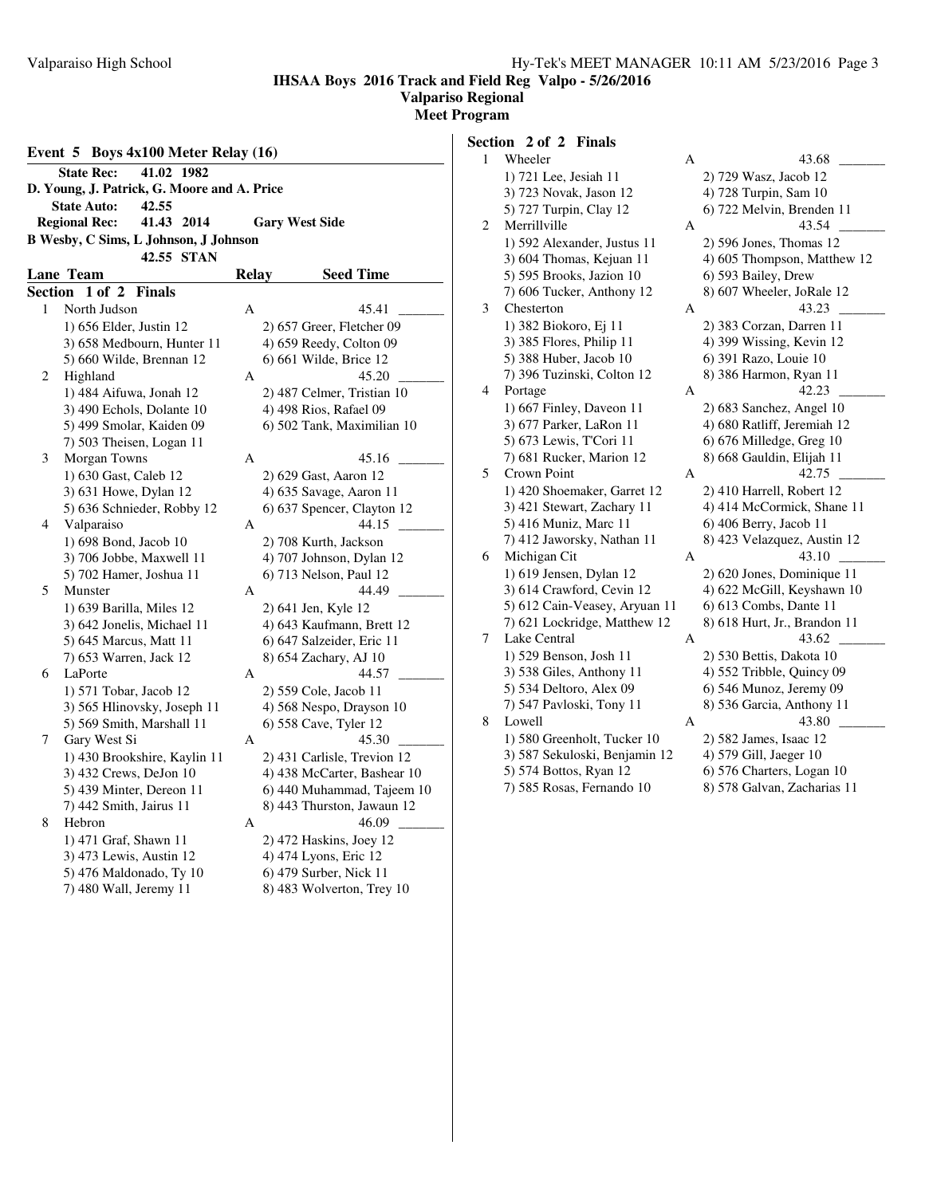1 Wheeler A 43.68 \_\_\_\_\_\_\_\_\_

**IHSAA Boys 2016 Track and Field Reg Valpo - 5/26/2016**

## **Valpariso Regional**

**Meet Program**

| Event 5 Boys 4x100 Meter Relay (16)   |                                             |       |                             |  |  |  |  |  |  |  |  |
|---------------------------------------|---------------------------------------------|-------|-----------------------------|--|--|--|--|--|--|--|--|
| 41.02 1982<br><b>State Rec:</b>       |                                             |       |                             |  |  |  |  |  |  |  |  |
|                                       | D. Young, J. Patrick, G. Moore and A. Price |       |                             |  |  |  |  |  |  |  |  |
|                                       | <b>State Auto:</b><br>42.55                 |       |                             |  |  |  |  |  |  |  |  |
|                                       | 41.43 2014<br><b>Regional Rec:</b>          |       | <b>Gary West Side</b>       |  |  |  |  |  |  |  |  |
| B Wesby, C Sims, L Johnson, J Johnson |                                             |       |                             |  |  |  |  |  |  |  |  |
|                                       | 42.55 STAN                                  |       |                             |  |  |  |  |  |  |  |  |
|                                       | <b>Lane Team</b>                            | Relay | <b>Seed Time</b>            |  |  |  |  |  |  |  |  |
| <b>Section</b>                        | 1 of 2<br><b>Finals</b>                     |       |                             |  |  |  |  |  |  |  |  |
| 1                                     | North Judson                                | A     | 45.41                       |  |  |  |  |  |  |  |  |
|                                       | 1) 656 Elder, Justin 12                     |       | 2) 657 Greer, Fletcher 09   |  |  |  |  |  |  |  |  |
|                                       | 3) 658 Medbourn, Hunter 11                  |       | 4) 659 Reedy, Colton 09     |  |  |  |  |  |  |  |  |
|                                       | 5) 660 Wilde, Brennan 12                    |       | 6) 661 Wilde, Brice 12      |  |  |  |  |  |  |  |  |
| 2                                     | Highland                                    | A     | 45.20                       |  |  |  |  |  |  |  |  |
|                                       | 1) 484 Aifuwa, Jonah 12                     |       | 2) 487 Celmer, Tristian 10  |  |  |  |  |  |  |  |  |
|                                       | 3) 490 Echols, Dolante 10                   |       | 4) 498 Rios, Rafael 09      |  |  |  |  |  |  |  |  |
|                                       | 5) 499 Smolar, Kaiden 09                    |       | 6) 502 Tank, Maximilian 10  |  |  |  |  |  |  |  |  |
|                                       | 7) 503 Theisen, Logan 11                    |       |                             |  |  |  |  |  |  |  |  |
| 3                                     | Morgan Towns                                | A     | 45.16                       |  |  |  |  |  |  |  |  |
|                                       | 1) 630 Gast, Caleb 12                       |       | 2) 629 Gast, Aaron 12       |  |  |  |  |  |  |  |  |
|                                       | 3) 631 Howe, Dylan 12                       |       | 4) 635 Savage, Aaron 11     |  |  |  |  |  |  |  |  |
|                                       | 5) 636 Schnieder, Robby 12                  |       | 6) 637 Spencer, Clayton 12  |  |  |  |  |  |  |  |  |
| 4                                     | Valparaiso                                  | А     | 44.15                       |  |  |  |  |  |  |  |  |
|                                       | 1) 698 Bond, Jacob 10                       |       | 2) 708 Kurth, Jackson       |  |  |  |  |  |  |  |  |
|                                       | 3) 706 Jobbe, Maxwell 11                    |       | 4) 707 Johnson, Dylan 12    |  |  |  |  |  |  |  |  |
|                                       | 5) 702 Hamer, Joshua 11                     |       | 6) 713 Nelson, Paul 12      |  |  |  |  |  |  |  |  |
| 5                                     | Munster                                     | А     | 44.49                       |  |  |  |  |  |  |  |  |
|                                       | 1) 639 Barilla, Miles 12                    |       | 2) 641 Jen, Kyle 12         |  |  |  |  |  |  |  |  |
|                                       | 3) 642 Jonelis, Michael 11                  |       | 4) 643 Kaufmann, Brett 12   |  |  |  |  |  |  |  |  |
|                                       | 5) 645 Marcus, Matt 11                      |       | 6) 647 Salzeider, Eric 11   |  |  |  |  |  |  |  |  |
|                                       | 7) 653 Warren, Jack 12                      |       | 8) 654 Zachary, AJ 10       |  |  |  |  |  |  |  |  |
| 6                                     | LaPorte                                     | А     | 44.57                       |  |  |  |  |  |  |  |  |
|                                       | 1) 571 Tobar, Jacob 12                      |       | 2) 559 Cole, Jacob 11       |  |  |  |  |  |  |  |  |
|                                       | 3) 565 Hlinovsky, Joseph 11                 |       | 4) 568 Nespo, Drayson 10    |  |  |  |  |  |  |  |  |
|                                       | 5) 569 Smith, Marshall 11                   |       | 6) 558 Cave, Tyler 12       |  |  |  |  |  |  |  |  |
| 7                                     | Gary West Si                                | A     | 45.30                       |  |  |  |  |  |  |  |  |
|                                       | 1) 430 Brookshire, Kaylin 11                |       | 2) 431 Carlisle, Trevion 12 |  |  |  |  |  |  |  |  |
|                                       | 3) 432 Crews, DeJon 10                      |       | 4) 438 McCarter, Bashear 10 |  |  |  |  |  |  |  |  |
|                                       | 5) 439 Minter, Dereon 11                    |       | 6) 440 Muhammad, Tajeem 10  |  |  |  |  |  |  |  |  |
|                                       | 7) 442 Smith, Jairus 11                     |       | 8) 443 Thurston, Jawaun 12  |  |  |  |  |  |  |  |  |
| 8                                     | Hebron                                      | А     | 46.09                       |  |  |  |  |  |  |  |  |
|                                       | 1) 471 Graf, Shawn 11                       |       | 2) 472 Haskins, Joey 12     |  |  |  |  |  |  |  |  |
|                                       | 3) 473 Lewis, Austin 12                     |       | 4) 474 Lyons, Eric 12       |  |  |  |  |  |  |  |  |
|                                       | 5) 476 Maldonado, Ty 10                     |       | 6) 479 Surber, Nick 11      |  |  |  |  |  |  |  |  |
|                                       | 7) 480 Wall, Jeremy 11                      |       | 8) 483 Wolverton, Trey 10   |  |  |  |  |  |  |  |  |

# **Section 2 of 2 Finals**<br>1 Wheeler

|   | 1) 721 Lee, Jesiah 11         |   | 2) 729 Wasz, Jacob 12        |
|---|-------------------------------|---|------------------------------|
|   | 3) 723 Novak, Jason 12        |   | 4) 728 Turpin, Sam 10        |
|   | 5) 727 Turpin, Clay 12        |   | 6) 722 Melvin, Brenden 11    |
| 2 | Merrillville                  | А | 43.54                        |
|   | 1) 592 Alexander, Justus 11   |   | $2)$ 596 Jones, Thomas 12    |
|   | 3) 604 Thomas, Kejuan 11      |   | 4) 605 Thompson, Matthew 12  |
|   | 5) 595 Brooks, Jazion 10      |   | 6) 593 Bailey, Drew          |
|   | 7) 606 Tucker, Anthony 12     |   | 8) 607 Wheeler, JoRale 12    |
| 3 | Chesterton                    | А | 43.23                        |
|   | 1) 382 Biokoro, Ej 11         |   | 2) 383 Corzan, Darren 11     |
|   | 3) 385 Flores, Philip 11      |   | 4) 399 Wissing, Kevin 12     |
|   | 5) 388 Huber, Jacob 10        |   | 6) 391 Razo, Louie 10        |
|   | 7) 396 Tuzinski, Colton 12    |   | 8) 386 Harmon, Ryan 11       |
| 4 | Portage                       | A | 42.23                        |
|   | 1) 667 Finley, Daveon 11      |   | $2)$ 683 Sanchez, Angel 10   |
|   | 3) 677 Parker, LaRon 11       |   | 4) 680 Ratliff, Jeremiah 12  |
|   | 5) 673 Lewis, T'Cori 11       |   | 6) 676 Milledge, Greg 10     |
|   | 7) 681 Rucker, Marion 12      |   | 8) 668 Gauldin, Elijah 11    |
| 5 | Crown Point                   | А | 42.75                        |
|   | 1) 420 Shoemaker, Garret 12   |   | 2) 410 Harrell, Robert 12    |
|   | 3) 421 Stewart, Zachary 11    |   | 4) 414 McCormick, Shane 11   |
|   | 5) 416 Muniz, Marc 11         |   | 6) 406 Berry, Jacob 11       |
|   | 7) 412 Jaworsky, Nathan 11    |   | 8) 423 Velazquez, Austin 12  |
| 6 | Michigan Cit                  | А | 43.10                        |
|   | 1) 619 Jensen, Dylan 12       |   | 2) 620 Jones, Dominique 11   |
|   | 3) 614 Crawford, Cevin 12     |   | 4) 622 McGill, Keyshawn 10   |
|   | 5) 612 Cain-Veasey, Aryuan 11 |   | 6) 613 Combs, Dante 11       |
|   | 7) 621 Lockridge, Matthew 12  |   | 8) 618 Hurt, Jr., Brandon 11 |
| 7 | Lake Central                  | А | 43.62                        |
|   | 1) 529 Benson, Josh 11        |   | 2) 530 Bettis, Dakota 10     |
|   | 3) 538 Giles, Anthony 11      |   | 4) 552 Tribble, Quincy 09    |
|   | 5) 534 Deltoro, Alex 09       |   | 6) 546 Munoz, Jeremy 09      |
|   | 7) 547 Pavloski, Tony 11      |   | 8) 536 Garcia, Anthony 11    |
| 8 | Lowell                        | Α | 43.80                        |
|   | 1) 580 Greenholt, Tucker 10   |   | 2) 582 James, Isaac 12       |
|   | 3) 587 Sekuloski, Benjamin 12 |   | 4) 579 Gill, Jaeger 10       |
|   | 5) 574 Bottos, Ryan 12        |   | 6) 576 Charters, Logan 10    |
|   | 7) 585 Rosas, Fernando 10     |   | 8) 578 Galvan, Zacharias 11  |
|   |                               |   |                              |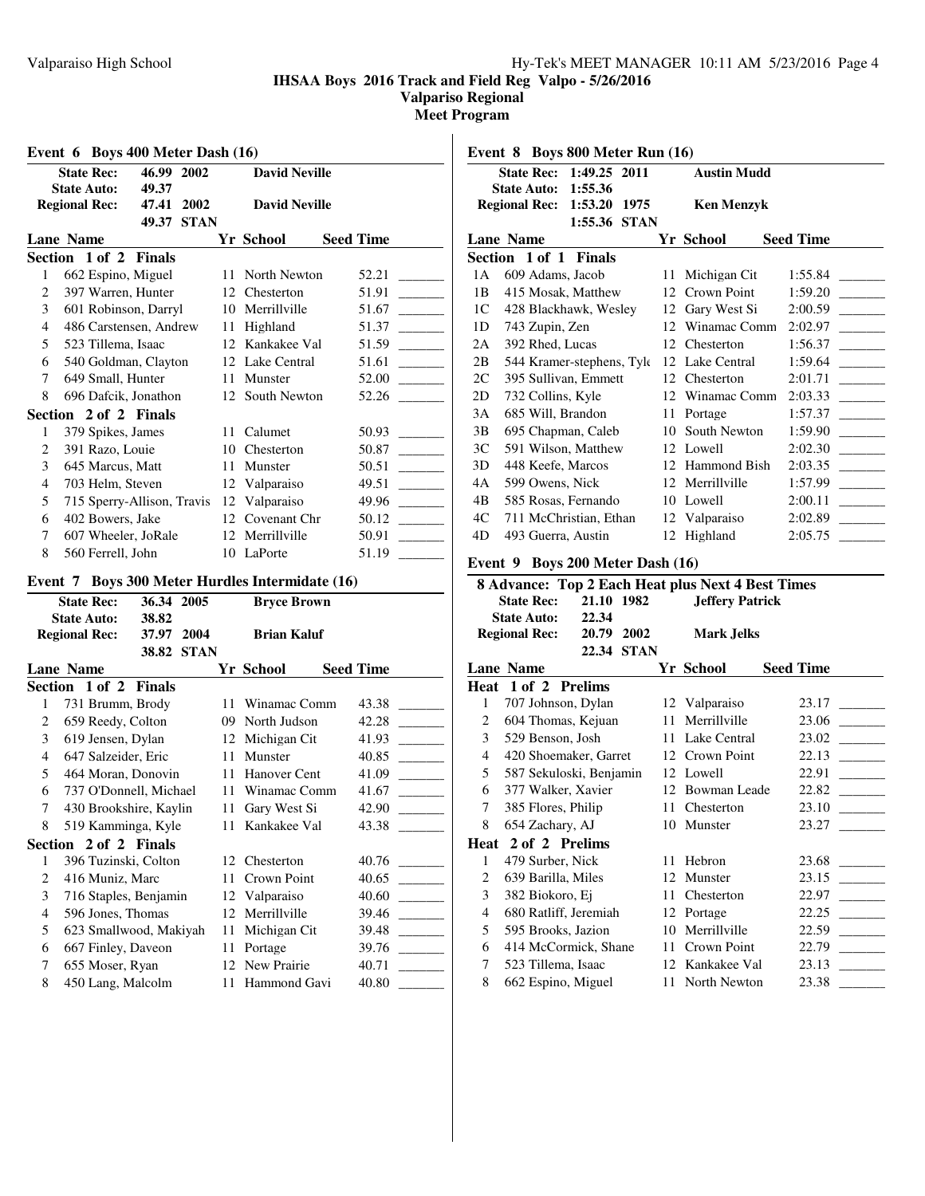**Valpariso Regional**

**Meet Program**

| Event 6 Boys 400 Meter Dash (16)                |    |                      |                  |
|-------------------------------------------------|----|----------------------|------------------|
| 46.99 2002<br><b>State Rec:</b>                 |    | <b>David Neville</b> |                  |
| <b>State Auto:</b><br>49.37                     |    |                      |                  |
| 47.41 2002<br><b>Regional Rec:</b>              |    | <b>David Neville</b> |                  |
| 49.37 STAN                                      |    |                      |                  |
| <b>Lane Name</b>                                |    | Yr School            | <b>Seed Time</b> |
| Section 1 of 2<br>Finals                        |    |                      |                  |
| 662 Espino, Miguel<br>1                         | 11 | North Newton         | 52.21            |
| 397 Warren, Hunter<br>2                         |    | 12 Chesterton        | 51.91            |
| 3<br>601 Robinson, Darryl                       |    | 10 Merrillville      | 51.67            |
| 4<br>486 Carstensen, Andrew                     |    | 11 Highland          | 51.37            |
| 5<br>523 Tillema, Isaac                         |    | 12 Kankakee Val      | 51.59            |
| 6<br>540 Goldman, Clayton                       |    | 12 Lake Central      | 51.61            |
| 649 Small, Hunter<br>7                          |    | 11 Munster           | 52.00            |
| 696 Dafcik, Jonathon<br>8                       |    | 12 South Newton      | 52.26            |
| Section 2 of 2 Finals                           |    |                      |                  |
| 379 Spikes, James<br>1                          |    | 11 Calumet           | 50.93            |
| 2<br>391 Razo, Louie                            |    | 10 Chesterton        | 50.87            |
| 3<br>645 Marcus, Matt                           |    | 11 Munster           | 50.51            |
| 4<br>703 Helm, Steven                           |    | 12 Valparaiso        | 49.51            |
| 5<br>715 Sperry-Allison, Travis                 |    | 12 Valparaiso        | 49.96            |
| 402 Bowers, Jake<br>6                           |    | 12 Covenant Chr      | 50.12            |
| 7<br>607 Wheeler, JoRale                        |    | 12 Merrillville      | 50.91            |
| 8<br>560 Ferrell, John                          |    | 10 LaPorte           | 51.19            |
| Event 7 Boys 300 Meter Hurdles Intermidate (16) |    |                      |                  |
| <b>State Rec:</b><br>36.34 2005                 |    | <b>Bryce Brown</b>   |                  |
| <b>State Auto:</b><br>38.82                     |    |                      |                  |
| <b>Regional Rec:</b><br>37.97 2004              |    | <b>Brian Kaluf</b>   |                  |
| 38.82 STAN                                      |    |                      |                  |
| <b>Lane Name</b>                                |    | Yr School            | <b>Seed Time</b> |
| Section 1 of 2<br><b>Finals</b>                 |    |                      |                  |
| 1<br>731 Brumm, Brody                           |    | 11 Winamac Comm      | 43.38            |
| 2<br>659 Reedy, Colton                          |    | 09 North Judson      | 42.28            |
| 619 Jensen, Dylan<br>3                          |    | 12 Michigan Cit      | 41.93            |
| 647 Salzeider, Eric<br>4                        |    | 11 Munster           | 40.85            |
| 5<br>464 Moran, Donovin                         |    | 11 Hanover Cent      | 41.09            |
| 6<br>737 O'Donnell, Michael                     |    | 11 Winamac Comm      | 41.67            |
| 430 Brookshire, Kaylin<br>7                     |    | 11 Gary West Si      | 42.90            |
| 8<br>519 Kamminga, Kyle                         |    | 11 Kankakee Val      | 43.38            |
| Section 2 of 2 Finals                           |    |                      |                  |
| 396 Tuzinski, Colton<br>1                       |    | 12 Chesterton        | 40.76            |
| $\overline{c}$<br>416 Muniz, Marc               | 11 | Crown Point          | 40.65            |
| 3<br>716 Staples, Benjamin                      | 12 | Valparaiso           | 40.60            |
| 596 Jones, Thomas<br>$\overline{4}$             | 12 | Merrillville         | 39.46            |
| 5<br>623 Smallwood, Makiyah                     | 11 | Michigan Cit         | 39.48            |
| 667 Finley, Daveon<br>6                         | 11 | Portage              | 39.76            |
| 655 Moser, Ryan<br>7                            |    | 12 New Prairie       | 40.71            |
| 450 Lang, Malcolm<br>8                          | 11 | Hammond Gavi         | 40.80            |
|                                                 |    |                      |                  |

**Event 8 Boys 800 Meter Run (16) State Rec: 1:49.25 2011 Austin Mudd State Auto: 1:55.36 Regional Rec: 1:53.20 1975 Ken Menzyk 1:55.36 STAN Lane Name Seed Time Seed Time Section 1 of 1 Finals** 1A 609 Adams, Jacob 11 Michigan Cit 1:55.84 1B 415 Mosak, Matthew 12 Crown Point 1:59.20 \_\_\_\_\_\_ 1C 428 Blackhawk, Wesley 12 Gary West Si 2:00.59 1D 743 Zupin, Zen 12 Winamac Comm 2:02.97 2A 392 Rhed, Lucas 12 Chesterton 1:56.37 2B 544 Kramer-stephens, Tyle 12 Lake Central 1:59.64 2C 395 Sullivan, Emmett 12 Chesterton 2:01.71 2D 732 Collins, Kyle 12 Winamac Comm 2:03.33 3A 685 Will, Brandon 11 Portage 1:57.37 3B 695 Chapman, Caleb 10 South Newton 1:59.90 \_ 3C 591 Wilson, Matthew 12 Lowell 2:02.30 \_\_\_\_\_\_ 3D 448 Keefe, Marcos 12 Hammond Bish 2:03.35 \_\_\_\_\_\_\_\_\_ 4A 599 Owens, Nick 12 Merrillville 1:57.99 \_\_\_\_\_\_\_\_\_ 4B 585 Rosas, Fernando 10 Lowell 2:00.11 4C 711 McChristian, Ethan 12 Valparaiso 2:02.89 4D 493 Guerra, Austin 12 Highland 2:05.75 \_\_\_\_\_\_\_\_\_

#### **Event 9 Boys 200 Meter Dash (16)**

|   |                         |            |            |    | 8 Advance: Top 2 Each Heat plus Next 4 Best Times |                  |       |  |
|---|-------------------------|------------|------------|----|---------------------------------------------------|------------------|-------|--|
|   | <b>State Rec:</b>       | 21.10 1982 |            |    | <b>Jeffery Patrick</b>                            |                  |       |  |
|   | <b>State Auto:</b>      | 22.34      |            |    |                                                   |                  |       |  |
|   | <b>Regional Rec:</b>    |            | 20.79 2002 |    | <b>Mark Jelks</b>                                 |                  |       |  |
|   |                         |            | 22.34 STAN |    |                                                   |                  |       |  |
|   | <b>Lane Name</b>        |            |            |    | Yr School                                         | <b>Seed Time</b> |       |  |
|   | Heat 1 of 2 Prelims     |            |            |    |                                                   |                  |       |  |
| 1 | 707 Johnson, Dylan      |            |            |    | 12 Valparaiso                                     |                  | 23.17 |  |
| 2 | 604 Thomas, Kejuan      |            |            | 11 | Merrillville                                      |                  | 23.06 |  |
| 3 | 529 Benson, Josh        |            |            |    | 11 Lake Central                                   |                  | 23.02 |  |
| 4 | 420 Shoemaker, Garret   |            |            |    | 12 Crown Point                                    |                  | 22.13 |  |
| 5 | 587 Sekuloski, Benjamin |            |            |    | 12 Lowell                                         |                  | 22.91 |  |
| 6 | 377 Walker, Xavier      |            |            |    | 12 Bowman Leade                                   |                  | 22.82 |  |
| 7 | 385 Flores, Philip      |            |            |    | 11 Chesterton                                     |                  | 23.10 |  |
| 8 | 654 Zachary, AJ         |            |            |    | 10 Munster                                        |                  | 23.27 |  |
|   | Heat 2 of 2 Prelims     |            |            |    |                                                   |                  |       |  |
| 1 | 479 Surber, Nick        |            |            |    | 11 Hebron                                         |                  | 23.68 |  |
| 2 | 639 Barilla, Miles      |            |            |    | 12 Munster                                        |                  | 23.15 |  |
| 3 | 382 Biokoro, Ej         |            |            | 11 | Chesterton                                        |                  | 22.97 |  |
| 4 | 680 Ratliff, Jeremiah   |            |            |    | 12 Portage                                        |                  | 22.25 |  |
| 5 | 595 Brooks, Jazion      |            |            |    | 10 Merrillville                                   |                  | 22.59 |  |
| 6 | 414 McCormick, Shane    |            |            |    | 11 Crown Point                                    |                  | 22.79 |  |
| 7 | 523 Tillema, Isaac      |            |            |    | 12 Kankakee Val                                   |                  | 23.13 |  |
| 8 | 662 Espino, Miguel      |            |            |    | 11 North Newton                                   |                  | 23.38 |  |
|   |                         |            |            |    |                                                   |                  |       |  |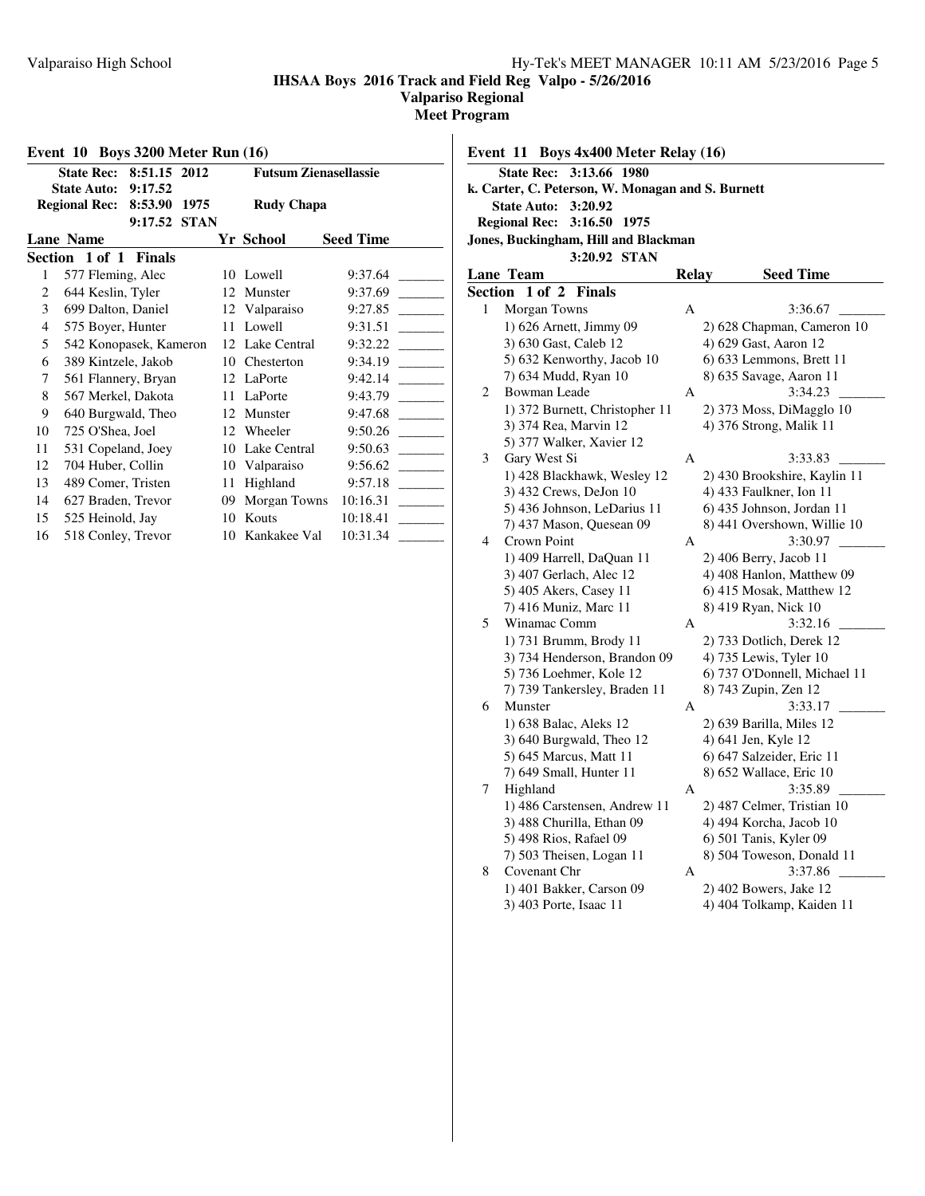**Valpariso Regional**

**Meet Program**

 $\mathbf{I}$ 

| Event $10$ Boys 3200 Meter Run $(16)$                        |                                   |             |                              |                  |  |  |  |  |  |  |
|--------------------------------------------------------------|-----------------------------------|-------------|------------------------------|------------------|--|--|--|--|--|--|
|                                                              | 8:51.15 2012<br><b>State Rec:</b> |             | <b>Futsum Zienasellassie</b> |                  |  |  |  |  |  |  |
|                                                              | <b>State Auto:</b><br>9:17.52     |             |                              |                  |  |  |  |  |  |  |
| <b>Regional Rec:</b><br>8:53.90<br>1975<br><b>Rudy Chapa</b> |                                   |             |                              |                  |  |  |  |  |  |  |
|                                                              | 9:17.52                           | <b>STAN</b> |                              |                  |  |  |  |  |  |  |
|                                                              | <b>Lane Name</b>                  |             | Yr School                    | <b>Seed Time</b> |  |  |  |  |  |  |
|                                                              | Section 1 of 1 Finals             |             |                              |                  |  |  |  |  |  |  |
| 1                                                            | 577 Fleming, Alec                 | 10          | Lowell                       | 9:37.64          |  |  |  |  |  |  |
| 2                                                            | 644 Keslin, Tyler                 | 12          | Munster                      | 9:37.69          |  |  |  |  |  |  |
| 3                                                            | 699 Dalton, Daniel                | 12          | Valparaiso                   | 9:27.85          |  |  |  |  |  |  |
| $\overline{4}$                                               | 575 Boyer, Hunter                 | 11          | Lowell                       | 9:31.51          |  |  |  |  |  |  |
| 5                                                            | 542 Konopasek, Kameron            | 12          | Lake Central                 | 9:32.22          |  |  |  |  |  |  |
| 6                                                            | 389 Kintzele, Jakob               | 10          | Chesterton                   | 9:34.19          |  |  |  |  |  |  |
| 7                                                            | 561 Flannery, Bryan               | 12          | LaPorte                      | 9:42.14          |  |  |  |  |  |  |
| 8                                                            | 567 Merkel, Dakota                | 11          | LaPorte                      | 9:43.79          |  |  |  |  |  |  |
| 9                                                            | 640 Burgwald, Theo                | 12          | Munster                      | 9:47.68          |  |  |  |  |  |  |
| 10                                                           | 725 O'Shea, Joel                  | 12          | Wheeler                      | 9:50.26          |  |  |  |  |  |  |
| 11                                                           | 531 Copeland, Joey                | 10          | Lake Central                 | 9:50.63          |  |  |  |  |  |  |
| 12                                                           | 704 Huber, Collin                 | 10          | Valparaiso                   | 9:56.62          |  |  |  |  |  |  |
| 13                                                           | 489 Comer, Tristen                | 11          | Highland                     | 9:57.18          |  |  |  |  |  |  |
| 14                                                           | 627 Braden, Trevor                | 09          | Morgan Towns                 | 10:16.31         |  |  |  |  |  |  |
| 15                                                           | 525 Heinold, Jay                  | 10          | Kouts                        | 10:18.41         |  |  |  |  |  |  |
| 16                                                           | 518 Conley, Trevor                | 10          | Kankakee Val                 | 10:31.34         |  |  |  |  |  |  |

### **Event 11 Boys 4x400 Meter Relay (16) State Rec: 3:13.66 1980 k. Carter, C. Peterson, W. Monagan and S. Burnett State Auto: 3:20.92 Regional Rec: 3:16.50 1975 Jones, Buckingham, Hill and Blackman 3:20.92 STAN Lane** Team **Relay Seed Time Section 1 of 2 Finals** 1 Morgan Towns A 3:36.67 1) 626 Arnett, Jimmy 09 2) 628 Chapman, Cameron 10 3) 630 Gast, Caleb 12 4) 629 Gast, Aaron 12 5) 632 Kenworthy, Jacob 10 6) 633 Lemmons, Brett 11 7) 634 Mudd, Ryan 10 8) 635 Savage, Aaron 11 2 Bowman Leade A 3:34.23 1) 372 Burnett, Christopher 11 2) 373 Moss, DiMagglo 10 3) 374 Rea, Marvin 12 4) 376 Strong, Malik 11 5) 377 Walker, Xavier 12 3 Gary West Si A 3:33.83 1) 428 Blackhawk, Wesley 12 2) 430 Brookshire, Kaylin 11 3) 432 Crews, DeJon 10 4) 433 Faulkner, Ion 11 5) 436 Johnson, LeDarius 11 6) 435 Johnson, Jordan 11 7) 437 Mason, Quesean 09 8) 441 Overshown, Willie 10 4 Crown Point A 3:30.97 1) 409 Harrell, DaQuan 11 2) 406 Berry, Jacob 11 3) 407 Gerlach, Alec 12 4) 408 Hanlon, Matthew 09

|    | 5) 405 Akers, Casey 11       |   | 6) 415 Mosak, Matthew 12     |
|----|------------------------------|---|------------------------------|
|    | 7) 416 Muniz, Marc 11        |   | 8) 419 Ryan, Nick 10         |
| 5. | Winamac Comm                 | A | 3:32.16                      |
|    | 1) 731 Brumm, Brody 11       |   | 2) 733 Dotlich, Derek 12     |
|    | 3) 734 Henderson, Brandon 09 |   | 4) 735 Lewis, Tyler 10       |
|    | 5) 736 Loehmer, Kole 12      |   | 6) 737 O'Donnell, Michael 11 |
|    | 7) 739 Tankersley, Braden 11 |   | 8) 743 Zupin, Zen 12         |
| 6  | Munster                      | A | 3:33.17                      |
|    | 1) 638 Balac, Aleks 12       |   | 2) 639 Barilla, Miles 12     |
|    | $(3)$ 640 Burgwald, Theo 12  |   | 4) 641 Jen, Kyle 12          |
|    | 5) 645 Marcus, Matt 11       |   | 6) 647 Salzeider, Eric 11    |
|    | 7) 649 Small, Hunter 11      |   | 8) 652 Wallace, Eric 10      |
| 7  | Highland                     | A | 3:35.89                      |
|    | 1) 486 Carstensen, Andrew 11 |   | 2) 487 Celmer, Tristian 10   |
|    | 3) 488 Churilla, Ethan 09    |   | 4) 494 Korcha, Jacob 10      |
|    | 5) 498 Rios, Rafael 09       |   | 6) 501 Tanis, Kyler 09       |
|    | 7) 503 Theisen, Logan 11     |   | 8) 504 Toweson, Donald 11    |
| 8  | Covenant Chr                 | А | 3:37.86                      |
|    | 1) 401 Bakker, Carson 09     |   | 2) 402 Bowers, Jake 12       |
|    | 3) 403 Porte, Isaac 11       |   | 4) 404 Tolkamp, Kaiden 11    |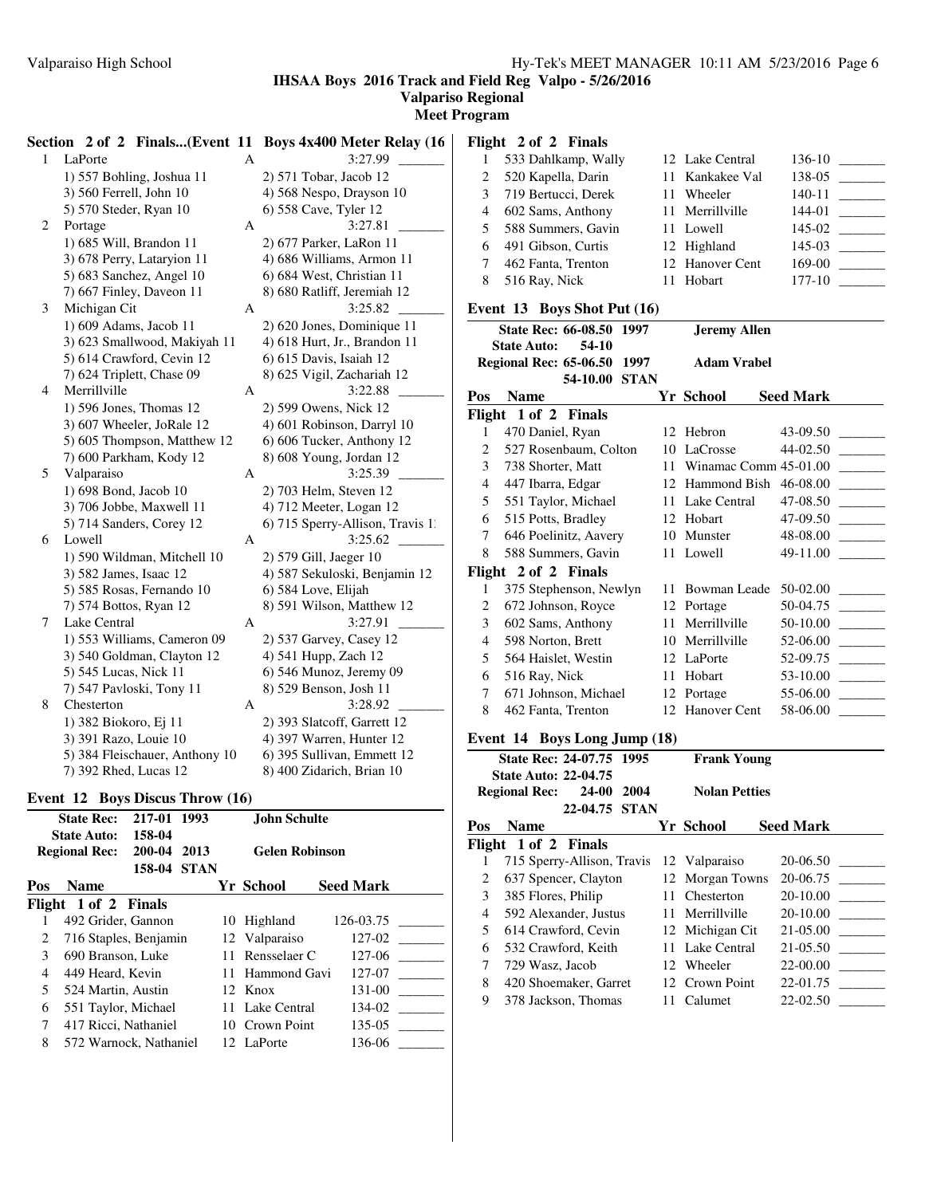**IHSAA Boys 2016 Track and Field Reg Valpo - 5/26/2016**

**Valpariso Regional Meet Program**

|   |                                |              | Section 2 of 2 Finals(Event 11 Boys 4x400 Meter Relay (16 |                | Flight 2 of 2 Finals         |                     |                                  |
|---|--------------------------------|--------------|-----------------------------------------------------------|----------------|------------------------------|---------------------|----------------------------------|
|   | 1 LaPorte                      | $\mathbf{A}$ | 3:27.99                                                   | $\mathbf{1}$   | 533 Dahlkamp, Wally          | 12 Lake Central     |                                  |
|   | 1) 557 Bohling, Joshua 11      |              | 2) 571 Tobar, Jacob 12                                    | 2              | 520 Kapella, Darin           | 11 Kankakee Val     | 138-05                           |
|   | 3) 560 Ferrell, John 10        |              | 4) 568 Nespo, Drayson 10                                  | 3              | 719 Bertucci, Derek          | 11 Wheeler          | $140-11$                         |
|   | 5) 570 Steder, Ryan 10         |              | 6) 558 Cave, Tyler 12                                     | 4              | 602 Sams, Anthony            | 11 Merrillville     | $144-01$                         |
| 2 | Portage                        | A            | 3:27.81                                                   | 5              | 588 Summers, Gavin           | 11 Lowell           | $145-02$                         |
|   | 1) 685 Will, Brandon 11        |              | 2) 677 Parker, LaRon 11                                   | 6              | 491 Gibson, Curtis           | 12 Highland         |                                  |
|   | 3) 678 Perry, Lataryion 11     |              | 4) 686 Williams, Armon 11                                 | 7              | 462 Fanta, Trenton           | 12 Hanover Cent     | $169-00$                         |
|   | 5) 683 Sanchez, Angel 10       |              | 6) 684 West, Christian 11                                 | 8              | 516 Ray, Nick                | 11 Hobart           | $177 - 10$                       |
|   | 7) 667 Finley, Daveon 11       |              | 8) 680 Ratliff, Jeremiah 12                               |                |                              |                     |                                  |
| 3 | Michigan Cit                   | A            | 3:25.82                                                   |                | Event 13 Boys Shot Put (16)  |                     |                                  |
|   | 1) 609 Adams, Jacob 11         |              | 2) 620 Jones, Dominique 11                                |                | State Rec: 66-08.50 1997     | <b>Jeremy Allen</b> |                                  |
|   | 3) 623 Smallwood, Makiyah 11   |              | 4) 618 Hurt, Jr., Brandon 11                              |                | <b>State Auto:</b><br>54-10  |                     |                                  |
|   | 5) 614 Crawford, Cevin 12      |              | 6) 615 Davis, Isaiah 12                                   |                | Regional Rec: 65-06.50 1997  | <b>Adam Vrabel</b>  |                                  |
|   | 7) 624 Triplett, Chase 09      |              | 8) 625 Vigil, Zachariah 12                                |                | 54-10.00 STAN                |                     |                                  |
| 4 | Merrillville                   | A            | 3:22.88                                                   |                | Pos Name                     | Yr School           | <b>Seed Mark</b>                 |
|   | 1) 596 Jones, Thomas 12        |              | 2) 599 Owens, Nick 12                                     |                | Flight 1 of 2 Finals         |                     |                                  |
|   | 3) 607 Wheeler, JoRale 12      |              | 4) 601 Robinson, Darryl 10                                | $\mathbf{1}$   | 470 Daniel, Ryan             | 12 Hebron           | 43-09.50                         |
|   | 5) 605 Thompson, Matthew 12    |              | 6) 606 Tucker, Anthony 12                                 | $\overline{c}$ | 527 Rosenbaum, Colton        | 10 LaCrosse         |                                  |
|   | 7) 600 Parkham, Kody 12        |              | 8) 608 Young, Jordan 12                                   | 3              | 738 Shorter, Matt            |                     | 11 Winamac Comm 45-01.00         |
| 5 | Valparaiso                     | A            | 3:25.39                                                   | $\overline{4}$ | 447 Ibarra, Edgar            |                     | 12 Hammond Bish 46-08.00 ______  |
|   | 1) 698 Bond, Jacob 10          |              | 2) 703 Helm, Steven 12                                    | 5              | 551 Taylor, Michael          | 11 Lake Central     | 47-08.50                         |
|   | 3) 706 Jobbe, Maxwell 11       |              | 4) 712 Meeter, Logan 12                                   | 6              | 515 Potts, Bradley           | 12 Hobart           | 47-09.50                         |
|   | 5) 714 Sanders, Corey 12       |              | 6) 715 Sperry-Allison, Travis 1                           | 7              | 646 Poelinitz, Aavery        | 10 Munster          |                                  |
| 6 | Lowell                         | A            |                                                           |                |                              |                     |                                  |
|   | 1) 590 Wildman, Mitchell 10    |              | 2) 579 Gill, Jaeger 10                                    | 8              | 588 Summers, Gavin           | 11 Lowell           | 49-11.00                         |
|   | 3) 582 James, Isaac 12         |              | 4) 587 Sekuloski, Benjamin 12                             |                | Flight 2 of 2 Finals         |                     |                                  |
|   | 5) 585 Rosas, Fernando 10      |              | 6) 584 Love, Elijah                                       | 1              | 375 Stephenson, Newlyn       |                     | 11 Bowman Leade 50-02.00 _______ |
|   | 7) 574 Bottos, Ryan 12         |              | 8) 591 Wilson, Matthew 12                                 | 2              | 672 Johnson, Royce           | 12 Portage          | 50-04.75                         |
| 7 | Lake Central                   | A            | 3:27.91                                                   | 3              | 602 Sams, Anthony            | 11 Merrillville     |                                  |
|   | 1) 553 Williams, Cameron 09    |              | 2) 537 Garvey, Casey 12                                   | 4              | 598 Norton, Brett            | 10 Merrillville     |                                  |
|   | 3) 540 Goldman, Clayton 12     |              | 4) 541 Hupp, Zach 12                                      | 5              | 564 Haislet, Westin          | 12 LaPorte          |                                  |
|   | 5) 545 Lucas, Nick 11          |              | 6) 546 Munoz, Jeremy 09                                   | 6              | 516 Ray, Nick                | 11 Hobart           |                                  |
|   | 7) 547 Pavloski, Tony 11       |              | 8) 529 Benson, Josh 11                                    | 7              | 671 Johnson, Michael         | 12 Portage          |                                  |
| 8 | Chesterton                     | $\mathbf{A}$ | 3:28.92                                                   | 8              | 462 Fanta, Trenton           | 12 Hanover Cent     |                                  |
|   | 1) 382 Biokoro, Ej 11          |              | 2) 393 Slatcoff, Garrett 12                               |                |                              |                     |                                  |
|   | 3) 391 Razo, Louie 10          |              | 4) 397 Warren, Hunter 12                                  |                | Event 14 Boys Long Jump (18) |                     |                                  |
|   | 5) 384 Fleischauer, Anthony 10 |              | 6) 395 Sullivan, Emmett 12                                |                | State Rec: 24-07.75 1995     | <b>Frank Young</b>  |                                  |
|   | 7) 392 Rhed, Lucas 12          |              | 8) 400 Zidarich, Brian 10                                 |                | <b>State Auto: 22-04.75</b>  |                     |                                  |

#### **Event 12 Boys Discus Throw (16)**

|                             | <b>State Rec:</b><br><b>State Auto:</b> | 217-01 1993<br>158-04 |             |    | John Schulte          |                  |           |  |
|-----------------------------|-----------------------------------------|-----------------------|-------------|----|-----------------------|------------------|-----------|--|
|                             | <b>Regional Rec:</b>                    | 200-04                | 2013        |    | <b>Gelen Robinson</b> |                  |           |  |
|                             |                                         | 158-04                | <b>STAN</b> |    |                       |                  |           |  |
| Pos                         | <b>Name</b>                             |                       |             |    | Yr School             | <b>Seed Mark</b> |           |  |
|                             | Flight 1 of 2 Finals                    |                       |             |    |                       |                  |           |  |
|                             | 492 Grider, Gannon                      |                       |             | 10 | Highland              |                  | 126-03.75 |  |
| $\mathcal{D}_{\mathcal{L}}$ | 716 Staples, Benjamin                   |                       |             |    | 12 Valparaiso         |                  | 127-02    |  |
| 3                           | 690 Branson, Luke                       |                       |             |    | 11 Rensselaer C       |                  | 127-06    |  |
| 4                           | 449 Heard, Kevin                        |                       |             |    | 11 Hammond Gavi       |                  | 127-07    |  |
| 5                           | 524 Martin, Austin                      |                       |             |    | 12. Knox              |                  | 131-00    |  |
| 6                           | 551 Taylor, Michael                     |                       |             |    | 11 Lake Central       |                  | 134-02    |  |
| 7                           | 417 Ricci, Nathaniel                    |                       |             |    | 10 Crown Point        |                  | 135-05    |  |
| 8                           | 572 Warnock, Nathaniel                  |                       |             |    | 12 LaPorte            |                  | 136-06    |  |

|     | 2004<br><b>Regional Rec:</b><br>24-00    | <b>Nolan Petties</b> |                  |
|-----|------------------------------------------|----------------------|------------------|
|     | 22-04.75 STAN                            |                      |                  |
| Pos | <b>Name</b>                              | Yr School            | <b>Seed Mark</b> |
|     | Flight 1 of 2 Finals                     |                      |                  |
|     | 715 Sperry-Allison, Travis 12 Valparaiso |                      | 20-06.50         |
| 2   | 637 Spencer, Clayton                     | 12 Morgan Towns      | 20-06.75         |
| 3   | 385 Flores, Philip                       | 11 Chesterton        | 20-10.00         |
| 4   | 592 Alexander, Justus                    | 11 Merrillyille      | $20-10.00$       |
| 5   | 614 Crawford, Cevin                      | 12 Michigan Cit      | $21 - 05.00$     |
| 6   | 532 Crawford, Keith                      | 11 Lake Central      | 21-05.50         |
| 7   | 729 Wasz, Jacob                          | 12 Wheeler           | 22-00.00         |
| 8   | 420 Shoemaker, Garret                    | 12 Crown Point       | 22-01.75         |
| 9   | 378 Jackson, Thomas                      | 11 Calumet           | 22-02.50         |
|     |                                          |                      |                  |